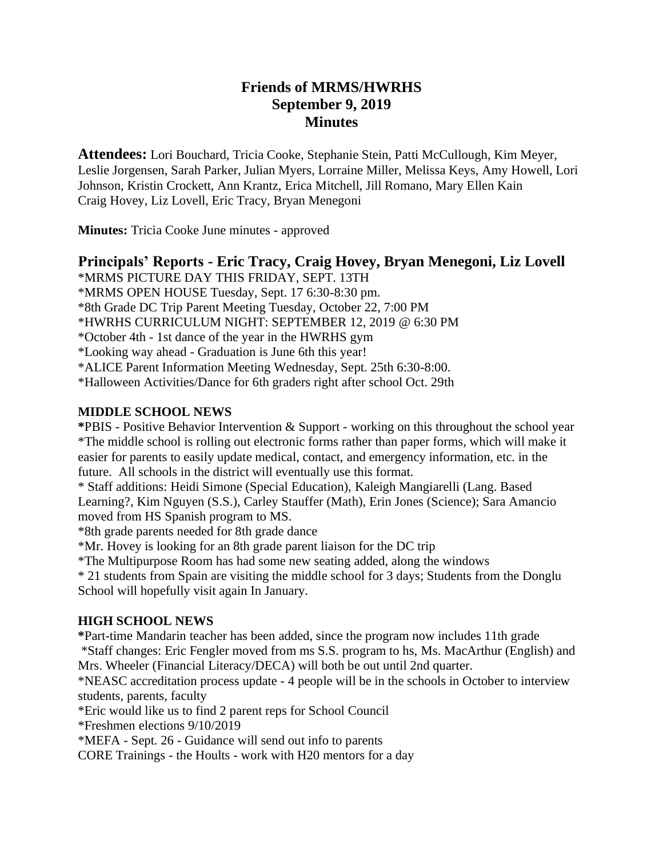# **Friends of MRMS/HWRHS September 9, 2019 Minutes**

**Attendees:** Lori Bouchard, Tricia Cooke, Stephanie Stein, Patti McCullough, Kim Meyer, Leslie Jorgensen, Sarah Parker, Julian Myers, Lorraine Miller, Melissa Keys, Amy Howell, Lori Johnson, Kristin Crockett, Ann Krantz, Erica Mitchell, Jill Romano, Mary Ellen Kain Craig Hovey, Liz Lovell, Eric Tracy, Bryan Menegoni

**Minutes:** Tricia Cooke June minutes - approved

# **Principals' Reports - Eric Tracy, Craig Hovey, Bryan Menegoni, Liz Lovell**

\*MRMS PICTURE DAY THIS FRIDAY, SEPT. 13TH \*MRMS OPEN HOUSE Tuesday, Sept. 17 6:30-8:30 pm. \*8th Grade DC Trip Parent Meeting Tuesday, October 22, 7:00 PM \*HWRHS CURRICULUM NIGHT: SEPTEMBER 12, 2019 @ 6:30 PM \*October 4th - 1st dance of the year in the HWRHS gym \*Looking way ahead - Graduation is June 6th this year! \*ALICE Parent Information Meeting Wednesday, Sept. 25th 6:30-8:00. \*Halloween Activities/Dance for 6th graders right after school Oct. 29th

### **MIDDLE SCHOOL NEWS**

**\***PBIS - Positive Behavior Intervention & Support - working on this throughout the school year \*The middle school is rolling out electronic forms rather than paper forms, which will make it easier for parents to easily update medical, contact, and emergency information, etc. in the future. All schools in the district will eventually use this format.

\* Staff additions: Heidi Simone (Special Education), Kaleigh Mangiarelli (Lang. Based Learning?, Kim Nguyen (S.S.), Carley Stauffer (Math), Erin Jones (Science); Sara Amancio moved from HS Spanish program to MS.

\*8th grade parents needed for 8th grade dance

\*Mr. Hovey is looking for an 8th grade parent liaison for the DC trip

\*The Multipurpose Room has had some new seating added, along the windows

\* 21 students from Spain are visiting the middle school for 3 days; Students from the Donglu School will hopefully visit again In January.

#### **HIGH SCHOOL NEWS**

**\***Part-time Mandarin teacher has been added, since the program now includes 11th grade \*Staff changes: Eric Fengler moved from ms S.S. program to hs, Ms. MacArthur (English) and Mrs. Wheeler (Financial Literacy/DECA) will both be out until 2nd quarter.

\*NEASC accreditation process update - 4 people will be in the schools in October to interview students, parents, faculty

\*Eric would like us to find 2 parent reps for School Council

\*Freshmen elections 9/10/2019

\*MEFA - Sept. 26 - Guidance will send out info to parents

CORE Trainings - the Hoults - work with H20 mentors for a day